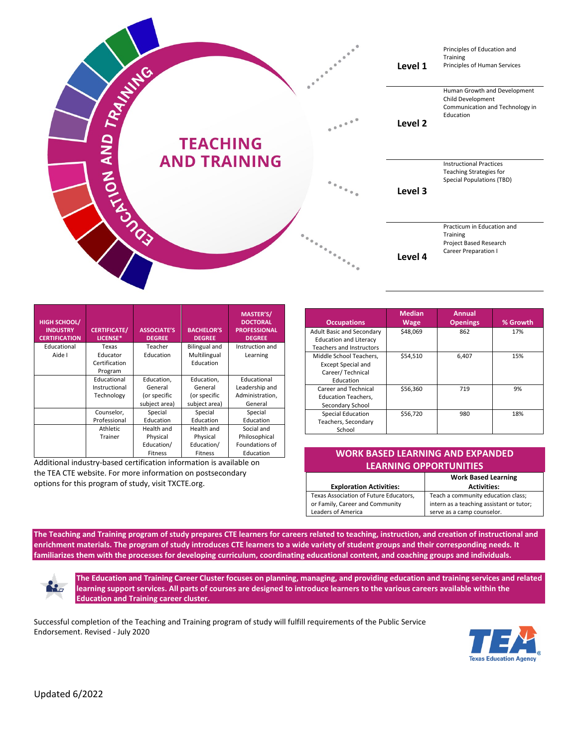

| <b>HIGH SCHOOL/</b><br><b>INDUSTRY</b><br><b>CERTIFICATION</b> | <b>CERTIFICATE/</b><br>LICENSE* | <b>ASSOCIATE'S</b><br><b>DEGREE</b> | <b>BACHELOR'S</b><br><b>DEGREE</b> | <b>MASTER'S/</b><br><b>DOCTORAL</b><br><b>PROFESSIONAL</b><br><b>DEGREE</b> |
|----------------------------------------------------------------|---------------------------------|-------------------------------------|------------------------------------|-----------------------------------------------------------------------------|
| Educational                                                    | Texas                           | Teacher                             | <b>Bilingual and</b>               | Instruction and                                                             |
| Aide I                                                         | Educator                        | Education                           | Multilingual                       | Learning                                                                    |
|                                                                | Certification                   |                                     | Education                          |                                                                             |
|                                                                | Program                         |                                     |                                    |                                                                             |
|                                                                | Educational                     | Education,                          | Education,                         | Educational                                                                 |
|                                                                | Instructional                   | General                             | General                            | Leadership and                                                              |
|                                                                | Technology                      | (or specific                        | (or specific                       | Administration,                                                             |
|                                                                |                                 | subject area)                       | subject area)                      | General                                                                     |
|                                                                | Counselor,                      | Special                             | Special                            | Special                                                                     |
|                                                                | Professional                    | Education                           | Education                          | Education                                                                   |
|                                                                | <b>Athletic</b>                 | Health and                          | Health and                         | Social and                                                                  |
|                                                                | Trainer                         | Physical                            | Physical                           | Philosophical                                                               |
|                                                                |                                 | Education/                          | Education/                         | Foundations of                                                              |
|                                                                |                                 | <b>Fitness</b>                      | <b>Fitness</b>                     | Education                                                                   |

Additional industry-based certification information is available on the TEA CTE website. For more information on postsecondary options for this program of study, visit TXCTE.org.

| <b>Occupations</b>               | <b>Median</b><br>Wage | Annual<br><b>Openings</b> | % Growth |
|----------------------------------|-----------------------|---------------------------|----------|
| <b>Adult Basic and Secondary</b> | \$48,069              | 862                       | 17%      |
| <b>Education and Literacy</b>    |                       |                           |          |
| <b>Teachers and Instructors</b>  |                       |                           |          |
| Middle School Teachers,          | \$54,510              | 6,407                     | 15%      |
| <b>Except Special and</b>        |                       |                           |          |
| Career/Technical                 |                       |                           |          |
| Education                        |                       |                           |          |
| Career and Technical             | \$56,360              | 719                       | 9%       |
| <b>Education Teachers,</b>       |                       |                           |          |
| Secondary School                 |                       |                           |          |
| <b>Special Education</b>         | \$56,720              | 980                       | 18%      |
| Teachers, Secondary              |                       |                           |          |
| School                           |                       |                           |          |

| <b>WORK BASED LEARNING AND EXPANDED.</b> |  |  |
|------------------------------------------|--|--|
| <b>LEARNING OPPORTUNITIES</b>            |  |  |

|                                        | <b>Work Based Learning</b>               |  |
|----------------------------------------|------------------------------------------|--|
| <b>Exploration Activities:</b>         | <b>Activities:</b>                       |  |
| Texas Association of Future Educators, | Teach a community education class;       |  |
| or Family, Career and Community        | intern as a teaching assistant or tutor; |  |
| Leaders of America                     | serve as a camp counselor.               |  |

**The Teaching and Training program of study prepares CTE learners for careers related to teaching, instruction, and creation of instructional and enrichment materials. The program of study introduces CTE learners to a wide variety of student groups and their corresponding needs. It familiarizes them with the processes for developing curriculum, coordinating educational content, and coaching groups and individuals.**

**The Education and Training Career Cluster focuses on planning, managing, and providing education and training services and related**  K. **learning support services. All parts of courses are designed to introduce learners to the various careers available within the Education and Training career cluster.**

Successful completion of the Teaching and Training program of study will fulfill requirements of the Public Service Endorsement. Revised - July 2020